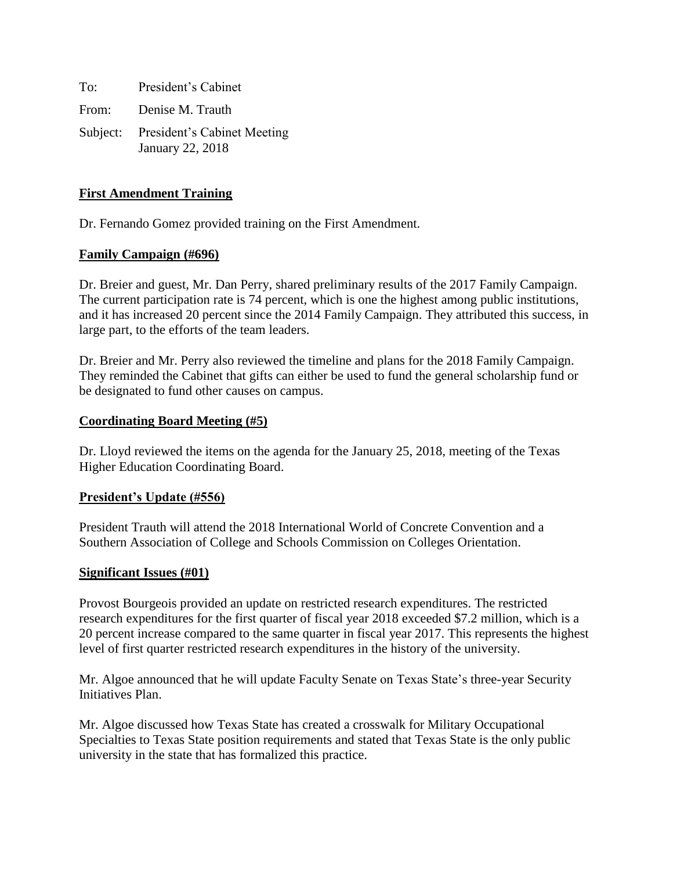To: President's Cabinet From: Denise M. Trauth Subject: President's Cabinet Meeting January 22, 2018

### **First Amendment Training**

Dr. Fernando Gomez provided training on the First Amendment.

### **Family Campaign (#696)**

Dr. Breier and guest, Mr. Dan Perry, shared preliminary results of the 2017 Family Campaign. The current participation rate is 74 percent, which is one the highest among public institutions, and it has increased 20 percent since the 2014 Family Campaign. They attributed this success, in large part, to the efforts of the team leaders.

Dr. Breier and Mr. Perry also reviewed the timeline and plans for the 2018 Family Campaign. They reminded the Cabinet that gifts can either be used to fund the general scholarship fund or be designated to fund other causes on campus.

#### **Coordinating Board Meeting (#5)**

Dr. Lloyd reviewed the items on the agenda for the January 25, 2018, meeting of the Texas Higher Education Coordinating Board.

#### **President's Update (#556)**

President Trauth will attend the 2018 International World of Concrete Convention and a Southern Association of College and Schools Commission on Colleges Orientation.

#### **Significant Issues (#01)**

Provost Bourgeois provided an update on restricted research expenditures. The restricted research expenditures for the first quarter of fiscal year 2018 exceeded \$7.2 million, which is a 20 percent increase compared to the same quarter in fiscal year 2017. This represents the highest level of first quarter restricted research expenditures in the history of the university.

Mr. Algoe announced that he will update Faculty Senate on Texas State's three-year Security Initiatives Plan.

Mr. Algoe discussed how Texas State has created a crosswalk for Military Occupational Specialties to Texas State position requirements and stated that Texas State is the only public university in the state that has formalized this practice.